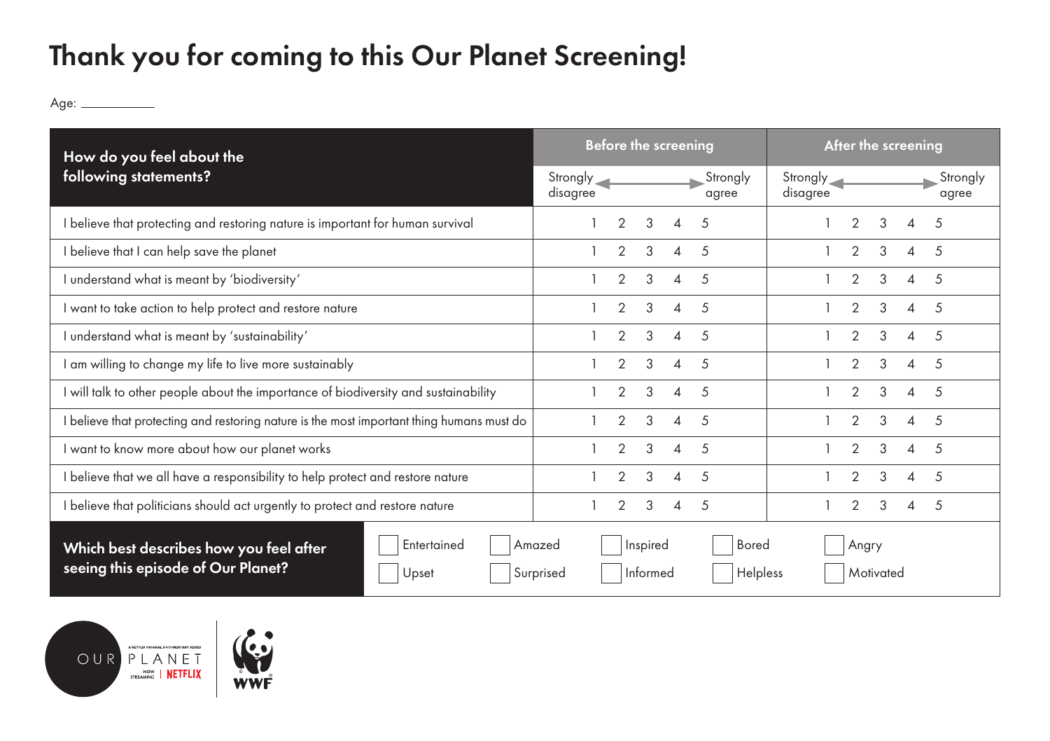## Thank you for coming to this Our Planet Screening!

Age:

| How do you feel about the<br>following statements?                                                    | <b>Before the screening</b><br>After the screening                                                              |
|-------------------------------------------------------------------------------------------------------|-----------------------------------------------------------------------------------------------------------------|
|                                                                                                       | Strongly<br>Strongly <sub>1</sub><br>Strongly <sub></sub><br>Strongly<br>disagree<br>disagree<br>agree<br>agree |
| I believe that protecting and restoring nature is important for human survival                        | 3<br>$\mathcal{P}$<br>3<br>2<br>.5<br>4<br>.5<br>Δ                                                              |
| I believe that I can help save the planet                                                             | $\overline{2}$<br>3<br>$\overline{2}$<br>3<br>5<br>4<br>5<br>4                                                  |
| I understand what is meant by 'biodiversity'                                                          | $\mathcal{P}$<br>3<br>$\mathcal{P}$<br>3<br>$\sqrt{2}$<br>Δ<br>.5<br>Δ                                          |
| I want to take action to help protect and restore nature                                              | $\mathcal{P}$<br>$\mathcal{P}$<br>3<br>3<br>.5<br>.5<br>$\Lambda$<br>4                                          |
| I understand what is meant by 'sustainability'                                                        | $\mathcal{P}$<br>3<br>$\mathcal{P}$<br>3<br>.5<br>4<br>.5<br>$\Delta$                                           |
| I am willing to change my life to live more sustainably                                               | 3<br>2<br>3<br>$\overline{2}$<br>.5<br>.5<br>$\Delta$<br>$\overline{A}$                                         |
| I will talk to other people about the importance of biodiversity and sustainability                   | $\mathcal{P}$<br>3<br>$\mathcal{P}$<br>3<br>5<br>$\sqrt{2}$<br>Δ<br>$\Lambda$                                   |
| I believe that protecting and restoring nature is the most important thing humans must do             | 3<br>3<br>$\mathcal{P}$<br>.5<br>4<br>.5<br>Δ                                                                   |
| I want to know more about how our planet works                                                        | $\overline{2}$<br>3<br>$\overline{2}$<br>3<br>.5<br>4<br>5<br>Δ                                                 |
| I believe that we all have a responsibility to help protect and restore nature                        | $\mathcal{P}$<br>3<br>2<br>3<br>.5<br>4<br>.5<br>Δ                                                              |
| I believe that politicians should act urgently to protect and restore nature                          | $\overline{2}$<br>3<br>$\overline{2}$<br>3<br>-5<br>5<br>$\overline{4}$<br>4                                    |
| Entertained<br>Which best describes how you feel after<br>seeing this episode of Our Planet?<br>Upset | <b>Bored</b><br>Inspired<br>Angry<br>Amazed<br>Helpless<br>Motivated<br>Surprised<br>Informed                   |